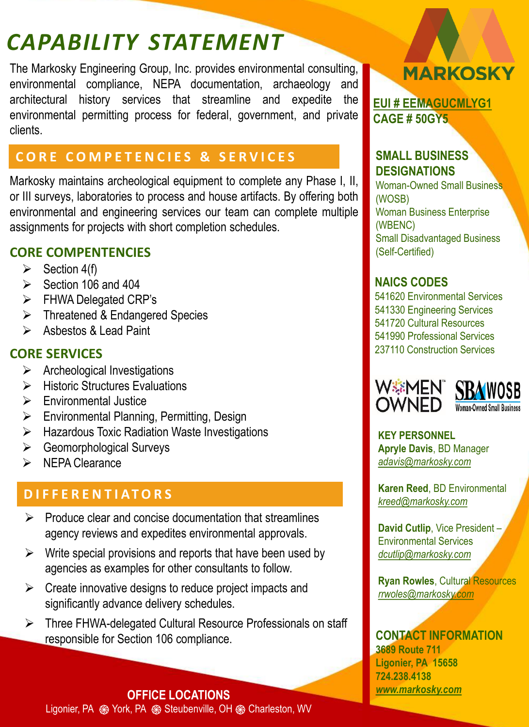# *CAPABILITY STATEMENT*

The Markosky Engineering Group, Inc. provides environmental consulting, environmental compliance, NEPA documentation, archaeology and architectural history services that streamline and expedite the environmental permitting process for federal, government, and private clients.

## **CORE COMPETENCIES & SERVICES**

Markosky maintains archeological equipment to complete any Phase I, II, or III surveys, laboratories to process and house artifacts. By offering both environmental and engineering services our team can complete multiple assignments for projects with short completion schedules.

## **CORE COMPENTENCIES**

- $\triangleright$  Section 4(f)
- $\triangleright$  Section 106 and 404
- ➢ FHWA Delegated CRP's
- ➢ Threatened & Endangered Species
- ➢ Asbestos & Lead Paint

## **CORE SERVICES**

- ➢ Archeological Investigations
- ➢ Historic Structures Evaluations
- ➢ Environmental Justice
- ➢ Environmental Planning, Permitting, Design
- ➢ Hazardous Toxic Radiation Waste Investigations
- ➢ Geomorphological Surveys
- ➢ NEPA Clearance

## **D I F F E R E N T I A T O R S**

- $\triangleright$  Produce clear and concise documentation that streamlines agency reviews and expedites environmental approvals.
- $\triangleright$  Write special provisions and reports that have been used by agencies as examples for other consultants to follow.
- $\triangleright$  Create innovative designs to reduce project impacts and significantly advance delivery schedules.
- ➢ Three FHWA-delegated Cultural Resource Professionals on staff responsible for Section 106 compliance. **CONTACT INFORMATION**



**[EUI # EEMAGUCMLYG1](https://www.fpds.gov/ezsearch/search.do?indexName=awardfull&templateName=1.5.2&s=FPDS.GOV&q=841651081) CAGE # 50GY5**

#### **SMALL BUSINESS DESIGNATIONS**

Woman-Owned Small Business (WOSB) Woman Business Enterprise (WBENC) Small Disadvantaged Business (Self-Certified)

#### **NAICS CODES**

541620 Environmental Services 541330 Engineering Services 541720 Cultural Resources 541990 Professional Services 237110 Construction Services



**KEY PERSONNEL Apryle Davis**, BD Manager *[adavis@markosky.com](mailto:adavis@markosky.com)*

**Karen Reed**, BD Environmental *[kreed@markosky.com](mailto:kreed@markosky.com)*

**David Cutlip**, Vice President – Environmental Services *[dcutlip@markosky.com](mailto:dcutlip@markosky.com)*

**Ryan Rowles**, Cultural Resources *[rrwoles@markosky.com](mailto:rrwoles@markosky.com)*

**3689 Route 711 Ligonier, PA 15658 724.238.4138**  *[www.markosky.com](http://www.markosky.com/)*